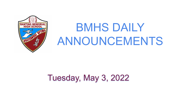

# BMHS DAILY ANNOUNCEMENTS

# Tuesday, May 3, 2022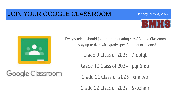### JOIN YOUR GOOGLE CLASSROOM



Tuesday, May 3, 2022



Google Classroom

Every student should join their graduating class' Google Classroom to stay up to date with grade specific announcements!

Grade 9 Class of 2025 - 7fdotgt

Grade 10 Class of 2024 - pqn6r6b

Grade 11 Class of 2023 - xmntytr

Grade 12 Class of 2022 - 5kuzhmr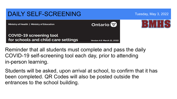

Reminder that all students must complete and pass the daily COVID-19 self-screening tool each day, prior to attending in-person learning.

Students will be asked, upon arrival at school, to confirm that it has been completed. QR Codes will also be posted outside the entrances to the school building.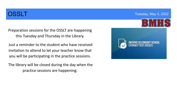Preparation sessions for the OSSLT are happening this Tuesday and Thursday in the Library.

 Just a reminder to the student who have received invitation to attend to let your teacher know that you will be participating in the practice sessions.

 The library will be closed during the day when the practice sessions are happening.

#### **OSSLT COSSLT COSSLT COSSLT COSSLT COSSLT**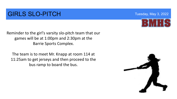## **GIRLS SLO-PITCH** Tuesday, May 3, 2022

Reminder to the girl's varsity slo-pitch team that our games will be at 1:00pm and 2:30pm at the Barrie Sports Complex.

The team is to meet Mr. Knapp at room 114 at 11:25am to get jerseys and then proceed to the bus ramp to board the bus.



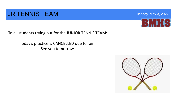#### **JR TENNIS TEAM** THE CONSTRUCTED THE THE THE THE THE THE THE TUESDAY TUESday, May 3, 2022



To all students trying out for the JUNIOR TENNIS TEAM:

Today's practice is CANCELLED due to rain. See you tomorrow.

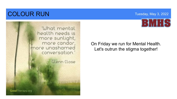# **COLOUR RUN** Tuesday, May 3, 2022





On Friday we run for Mental Health. Let's outrun the stigma together!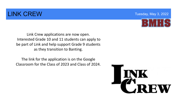### **LINK CREW Tuesday, May 3, 2022**



Link Crew applications are now open. Interested Grade 10 and 11 students can apply to be part of Link and help support Grade 9 students as they transition to Banting.

The link for the application is on the Google Classroom for the Class of 2023 and Class of 2024.

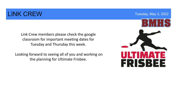#### **LINK CREW Tuesday, May 3, 2022**

Link Crew members please check the google classroom for important meeting dates for Tuesday and Thursday this week.

Looking forward to seeing all of you and working on the planning for Ultimate Frisbee.

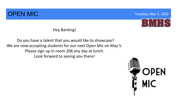## **OPEN MIC Signal Contract Contract Contract Contract Contract Contract Contract Contract Contract Contract Contract Contract Contract Contract Contract Contract Contract Contract Contract Contract Contract Contract Contr**



Hey Banting!

#### Do you have a talent that you would like to showcase? We are now accepting students for our next Open Mic on May 5. Please sign up in room 206 any day at lunch. Look forward to seeing you there!

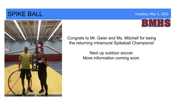#### SPIKE BALL **SPIKE BALL**





Congrats to Mr. Geier and Ms. Mitchell for being the returning Intramural Spikeball Champions!

> Next up outdoor soccer. More information coming soon.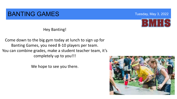#### **BANTING GAMES** Tuesday, May 3, 2022



Hey Banting!

Come down to the big gym today at lunch to sign up for Banting Games, you need 8-10 players per team. You can combine grades, make a student teacher team, it's completely up to you!!!

We hope to see you there.

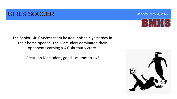#### **GIRLS SOCCER** Tuesday, May 3, 2022



The Senior Girls' Soccer team hosted Innisdale yesterday in their home opener. The Marauders dominated their opponents earning a 6-0 shutout victory.

Great Job Marauders, good luck tomorrow!

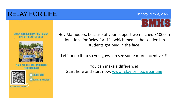### RELAY FOR LIFE Tuesday, May 3, 2022



#### **DUICK REMINDER RANTING TO SIGN** UP FOR RELAY FOR LIFE!



**FUNDRAISING!** 



**JUNE 9TH C** RAIN DATE JUNE 18TH

Hey Marauders, because of your support we reached \$1000 in donations for Relay for Life, which means the Leadership students got pied in the face.

Let's keep it up so you guys can see some more incentives!!

You can make a difference! Start here and start now: [www.relayforlife.ca/banting](http://www.relayforlife.ca/banting)